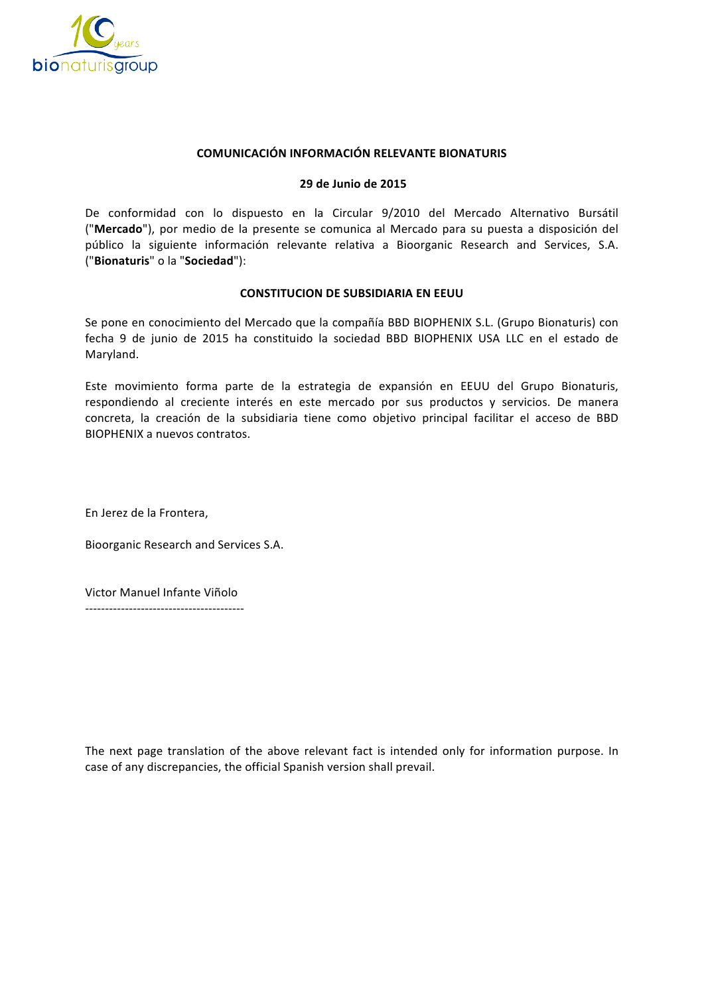

## **COMUNICACIÓN INFORMACIÓN RELEVANTE BIONATURIS**

## **29 de Junio de 2015**

De conformidad con lo dispuesto en la Circular 9/2010 del Mercado Alternativo Bursátil ("Mercado"), por medio de la presente se comunica al Mercado para su puesta a disposición del público la siguiente información relevante relativa a Bioorganic Research and Services, S.A. ("**Bionaturis**" o la "**Sociedad**"):

## **CONSTITUCION DE SUBSIDIARIA EN EEUU**

Se pone en conocimiento del Mercado que la compañía BBD BIOPHENIX S.L. (Grupo Bionaturis) con fecha 9 de junio de 2015 ha constituido la sociedad BBD BIOPHENIX USA LLC en el estado de Maryland. 

Este movimiento forma parte de la estrategia de expansión en EEUU del Grupo Bionaturis, respondiendo al creciente interés en este mercado por sus productos y servicios. De manera concreta, la creación de la subsidiaria tiene como objetivo principal facilitar el acceso de BBD BIOPHENIX a nuevos contratos.

En Jerez de la Frontera,

Bioorganic Research and Services S.A.

Victor Manuel Infante Viñolo ----------------------------------------

The next page translation of the above relevant fact is intended only for information purpose. In case of any discrepancies, the official Spanish version shall prevail.